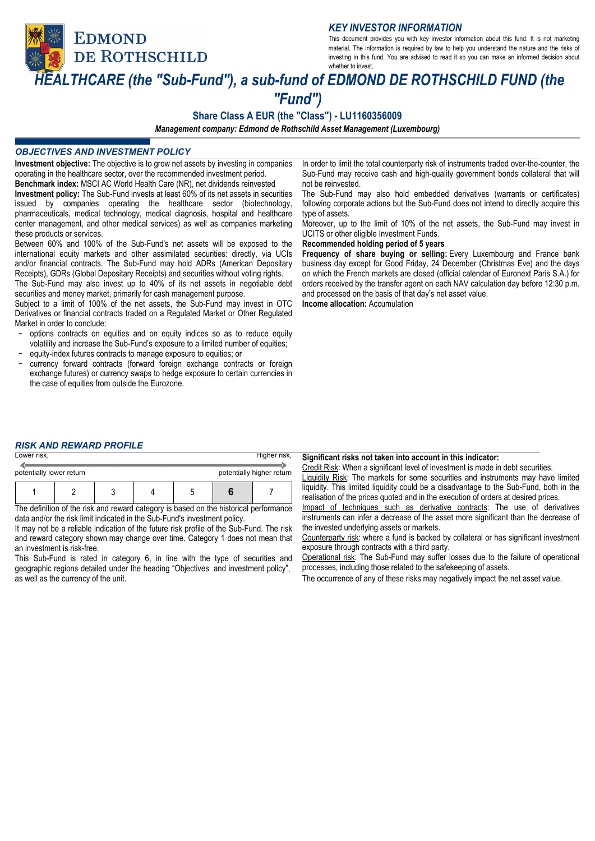**EDMOND** 

DE ROTHSCHILD

*KEY INVESTOR INFORMATION*

This document provides you with key investor information about this fund. It is not marketing material. The information is required by law to help you understand the nature and the risks of investing in this fund. You are advised to read it so you can make an informed decision about whether to invest.

# *HEALTHCARE (the "Sub-Fund"), a sub-fund of EDMOND DE ROTHSCHILD FUND (the "Fund")*

# **Share Class A EUR (the "Class") - LU1160356009**

*Management company: Edmond de Rothschild Asset Management (Luxembourg)*

# *OBJECTIVES AND INVESTMENT POLICY*

**Investment objective:** The objective is to grow net assets by investing in companies operating in the healthcare sector, over the recommended investment period. **Benchmark index:** MSCI AC World Health Care (NR), net dividends reinvested **Investment policy:** The Sub-Fund invests at least 60% of its net assets in securities

issued by companies operating the healthcare sector (biotechnology, pharmaceuticals, medical technology, medical diagnosis, hospital and healthcare center management, and other medical services) as well as companies marketing these products or services.

Between 60% and 100% of the Sub-Fund's net assets will be exposed to the international equity markets and other assimilated securities: directly, via UCIs and/or financial contracts. The Sub-Fund may hold ADRs (American Depositary Receipts), GDRs (Global Depositary Receipts) and securities without voting rights.

The Sub-Fund may also invest up to 40% of its net assets in negotiable debt securities and money market, primarily for cash management purpose.

Subject to a limit of 100% of the net assets, the Sub-Fund may invest in OTC Derivatives or financial contracts traded on a Regulated Market or Other Regulated Market in order to conclude:

- options contracts on equities and on equity indices so as to reduce equity volatility and increase the Sub-Fund's exposure to a limited number of equities;
- equity-index futures contracts to manage exposure to equities; or
- currency forward contracts (forward foreign exchange contracts or foreign exchange futures) or currency swaps to hedge exposure to certain currencies in the case of equities from outside the Eurozone.

In order to limit the total counterparty risk of instruments traded over-the-counter, the Sub-Fund may receive cash and high-quality government bonds collateral that will not be reinvested.

The Sub-Fund may also hold embedded derivatives (warrants or certificates) following corporate actions but the Sub-Fund does not intend to directly acquire this type of assets.

Moreover, up to the limit of 10% of the net assets, the Sub-Fund may invest in UCITS or other eligible Investment Funds.

### **Recommended holding period of 5 years**

**Frequency of share buying or selling:** Every Luxembourg and France bank business day except for Good Friday, 24 December (Christmas Eve) and the days on which the French markets are closed (official calendar of Euronext Paris S.A.) for orders received by the transfer agent on each NAV calculation day before 12:30 p.m. and processed on the basis of that day's net asset value.

**Income allocation:** Accumulation

# *RISK AND REWARD PROFILE*

| Lower risk,              |  |   |  |  | Higher risk,              |
|--------------------------|--|---|--|--|---------------------------|
| potentially lower return |  |   |  |  | potentially higher return |
|                          |  | ◠ |  |  |                           |

The definition of the risk and reward category is based on the historical performance data and/or the risk limit indicated in the Sub-Fund's investment policy.

It may not be a reliable indication of the future risk profile of the Sub-Fund. The risk and reward category shown may change over time. Category 1 does not mean that an investment is risk-free.

This Sub-Fund is rated in category 6, in line with the type of securities and geographic regions detailed under the heading "Objectives and investment policy", as well as the currency of the unit.

**Significant risks not taken into account in this indicator:**

Credit Risk: When a significant level of investment is made in debt securities. **Liquidity Risk:** The markets for some securities and instruments may have limited liquidity. This limited liquidity could be a disadvantage to the Sub-Fund, both in the realisation of the prices quoted and in the execution of orders at desired prices.

Impact of techniques such as derivative contracts: The use of derivatives instruments can infer a decrease of the asset more significant than the decrease of the invested underlying assets or markets.

Counterparty risk: where a fund is backed by collateral or has significant investment exposure through contracts with a third party.

Operational risk: The Sub-Fund may suffer losses due to the failure of operational processes, including those related to the safekeeping of assets.

The occurrence of any of these risks may negatively impact the net asset value.